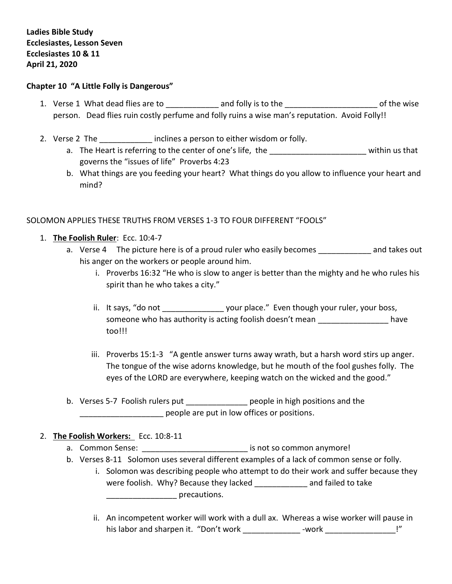**Ladies Bible Study Ecclesiastes, Lesson Seven Ecclesiastes 10 & 11 April 21, 2020**

#### **Chapter 10 "A Little Folly is Dangerous"**

- 1. Verse 1 What dead flies are to \_\_\_\_\_\_\_\_\_\_\_\_\_\_ and folly is to the \_\_\_\_\_\_\_\_\_\_\_\_\_\_\_\_\_\_\_\_\_\_\_\_\_\_\_\_\_\_ of the wise person. Dead flies ruin costly perfume and folly ruins a wise man's reputation. Avoid Folly!!
- 2. Verse 2 The **Example 2 inclines a person to either wisdom or folly.** 
	- a. The Heart is referring to the center of one's life, the the state of the state within us that governs the "issues of life" Proverbs 4:23
	- b. What things are you feeding your heart? What things do you allow to influence your heart and mind?

# SOLOMON APPLIES THESE TRUTHS FROM VERSES 1-3 TO FOUR DIFFERENT "FOOLS"

- 1. **The Foolish Ruler**: Ecc. 10:4-7
	- a. Verse 4 The picture here is of a proud ruler who easily becomes \_\_\_\_\_\_\_\_\_\_\_\_\_ and takes out his anger on the workers or people around him.
		- i. Proverbs 16:32 "He who is slow to anger is better than the mighty and he who rules his spirit than he who takes a city."
		- ii. It says, "do not \_\_\_\_\_\_\_\_\_\_\_\_\_\_\_\_\_\_\_ your place." Even though your ruler, your boss, someone who has authority is acting foolish doesn't mean **combinance** have too!!!
		- iii. Proverbs 15:1-3 "A gentle answer turns away wrath, but a harsh word stirs up anger. The tongue of the wise adorns knowledge, but he mouth of the fool gushes folly. The eyes of the LORD are everywhere, keeping watch on the wicked and the good."
	- b. Verses 5-7 Foolish rulers put \_\_\_\_\_\_\_\_\_\_\_\_\_\_\_\_ people in high positions and the people are put in low offices or positions.
- 2. **The Foolish Workers:** Ecc. 10:8-11
	- a. Common Sense: \_\_\_\_\_\_\_\_\_\_\_\_\_\_\_\_\_\_\_\_\_\_\_\_\_\_\_\_\_\_\_\_\_ is not so common anymore!
	- b. Verses 8-11 Solomon uses several different examples of a lack of common sense or folly.
		- i. Solomon was describing people who attempt to do their work and suffer because they were foolish. Why? Because they lacked and failed to take **Example 2** recautions.
			- ii. An incompetent worker will work with a dull ax. Whereas a wise worker will pause in his labor and sharpen it. "Don't work \_\_\_\_\_\_\_\_\_\_\_\_\_\_- -work \_\_\_\_\_\_\_\_\_\_\_\_\_\_\_\_\_\_\_!"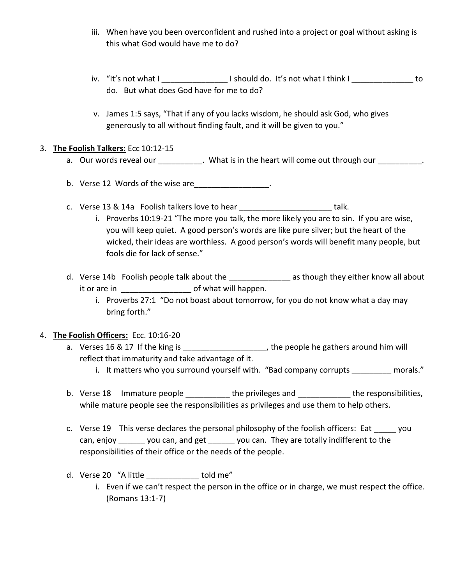- iii. When have you been overconfident and rushed into a project or goal without asking is this what God would have me to do?
- iv. "It's not what I \_\_\_\_\_\_\_\_\_\_\_\_\_\_\_ I should do. It's not what I think I \_\_\_\_\_\_\_\_\_\_\_\_\_\_ to do. But what does God have for me to do?
- v. James 1:5 says, "That if any of you lacks wisdom, he should ask God, who gives generously to all without finding fault, and it will be given to you."

## 3. **The Foolish Talkers:** Ecc 10:12-15

- a. Our words reveal our entity on the heart will come out through our cannot be the computation of the heart will come out through our cannot be the computation.
- b. Verse 12 Words of the wise are  $\qquad \qquad$ .
- c. Verse 13 & 14a Foolish talkers love to hear \_\_\_\_\_\_\_\_\_\_\_\_\_\_\_\_\_\_\_\_\_\_\_\_\_\_ talk.
	- i. Proverbs 10:19-21 "The more you talk, the more likely you are to sin. If you are wise, you will keep quiet. A good person's words are like pure silver; but the heart of the wicked, their ideas are worthless. A good person's words will benefit many people, but fools die for lack of sense."
- d. Verse 14b Foolish people talk about the \_\_\_\_\_\_\_\_\_\_\_\_\_\_\_\_\_\_\_ as though they either know all about it or are in the second of what will happen.
	- i. Proverbs 27:1 "Do not boast about tomorrow, for you do not know what a day may bring forth."

#### 4. **The Foolish Officers:** Ecc. 10:16-20

- a. Verses 16 & 17 If the king is \_\_\_\_\_\_\_\_\_\_\_\_\_\_\_\_\_\_\_\_\_, the people he gathers around him will reflect that immaturity and take advantage of it.
	- i. It matters who you surround yourself with. "Bad company corrupts morals."
- b. Verse 18 Immature people \_\_\_\_\_\_\_\_\_\_ the privileges and \_\_\_\_\_\_\_\_\_\_\_\_ the responsibilities, while mature people see the responsibilities as privileges and use them to help others.
- c. Verse 19 This verse declares the personal philosophy of the foolish officers: Eat you can, enjoy example you can, and get the you can. They are totally indifferent to the responsibilities of their office or the needs of the people.
- d. Verse 20 "A little bundle told me"
	- i. Even if we can't respect the person in the office or in charge, we must respect the office. (Romans 13:1-7)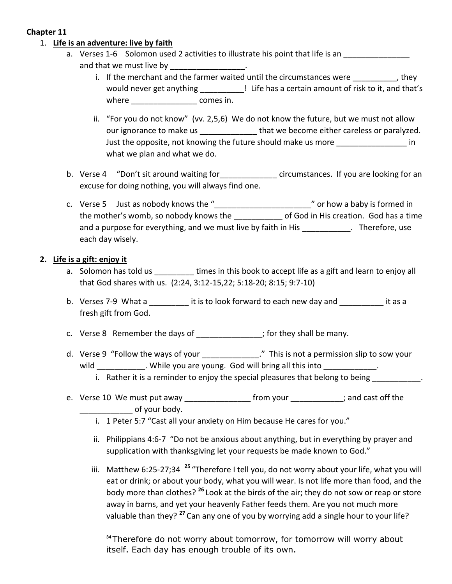# **Chapter 11**

## 1. **Life is an adventure: live by faith**

- a. Verses 1-6 Solomon used 2 activities to illustrate his point that life is an and that we must live by
	- i. If the merchant and the farmer waited until the circumstances were  $\qquad \qquad$ , they would never get anything **the life has a certain amount of risk to it**, and that's where **where** comes in.
	- ii. "For you do not know" (vv. 2,5,6) We do not know the future, but we must not allow our ignorance to make us entitled that we become either careless or paralyzed. Just the opposite, not knowing the future should make us more **Theore in** in what we plan and what we do.
- b. Verse 4 "Don't sit around waiting for The Scircumstances. If you are looking for an excuse for doing nothing, you will always find one.
- c. Verse 5 Just as nobody knows the "\_\_\_\_\_\_\_\_\_\_\_\_\_\_\_\_\_\_\_\_\_\_" or how a baby is formed in the mother's womb, so nobody knows the end of God in His creation. God has a time and a purpose for everything, and we must live by faith in His \_\_\_\_\_\_\_\_\_\_\_\_. Therefore, use each day wisely.

## **2. Life is a gift: enjoy it**

- a. Solomon has told us \_\_\_\_\_\_\_\_\_ times in this book to accept life as a gift and learn to enjoy all that God shares with us. (2:24, 3:12-15,22; 5:18-20; 8:15; 9:7-10)
- b. Verses 7-9 What a **Lack is to look forward to each new day and** it as a fresh gift from God.
- c. Verse 8 Remember the days of \_\_\_\_\_\_\_\_\_\_\_\_\_\_; for they shall be many.
- d. Verse 9 "Follow the ways of your \_\_\_\_\_\_\_\_\_\_\_\_\_\_." This is not a permission slip to sow your wild will while you are young. God will bring all this into will bring all this into
	- i. Rather it is a reminder to enjoy the special pleasures that belong to being  $\blacksquare$
- e. Verse 10 We must put away example from your the same cast off the of your body.
	- i. 1 Peter 5:7 "Cast all your anxiety on Him because He cares for you."
	- ii. Philippians 4:6-7 "Do not be anxious about anything, but in everything by prayer and supplication with thanksgiving let your requests be made known to God."
	- iii. Matthew 6:25-27;34 <sup>25</sup> "Therefore I tell you, do not worry about your life, what you will eat or drink; or about your body, what you will wear. Is not life more than food, and the body more than clothes? **<sup>26</sup>** Look at the birds of the air; they do not sow or reap or store away in barns, and yet your heavenly Father feeds them. Are you not much more valuable than they? **<sup>27</sup>** Can any one of you by worrying add a single hour to your life?

**<sup>34</sup>** Therefore do not worry about tomorrow, for tomorrow will worry about itself. Each day has enough trouble of its own.